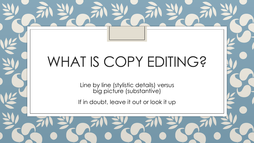# WHAT IS COPY EDITING?

Line by line (stylistic details) versus big picture (substantive)

If in doubt, leave it out or look it up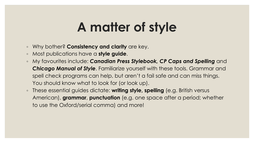#### **A matter of style**

- Why bother? **Consistency and clarity** are key.
- Most publications have a **style guide**.
- My favourites include: *Canadian Press Stylebook, CP Caps and Spelling* and *Chicago Manual of Style*. Familiarize yourself with these tools. Grammar and spell check programs can help, but aren't a fail safe and can miss things. You should know what to look for (or look up).
- These essential guides dictate: **writing style, spelling** (e.g. British versus American), **grammar**, **punctuation** (e.g. one space after a period; whether to use the Oxford/serial comma) and more!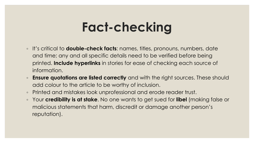### **Fact-checking**

- It's critical to **double-check facts**: names, titles, pronouns, numbers, date and time; any and all specific details need to be verified before being printed. **Include hyperlinks** in stories for ease of checking each source of information.
- **Ensure quotations are listed correctly** and with the right sources. These should add colour to the article to be worthy of inclusion.
- Printed and mistakes look unprofessional and erode reader trust.
- Your **credibility is at stake**. No one wants to get sued for **libel** (making false or malicious statements that harm, discredit or damage another person's reputation).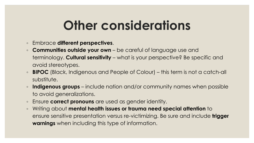#### **Other considerations**

- Embrace **different perspectives**.
- **Communities outside your own** be careful of language use and terminology. **Cultural sensitivity** – what is your perspective? Be specific and avoid stereotypes.
- **BIPOC** (Black, Indigenous and People of Colour) this term is not a catch-all substitute.
- **Indigenous groups** include nation and/or community names when possible to avoid generalizations.
- Ensure **correct pronouns** are used as gender identity.
- Writing about **mental health issues or trauma need special attention** to ensure sensitive presentation versus re-victimizing. Be sure and include **trigger warnings** when including this type of information.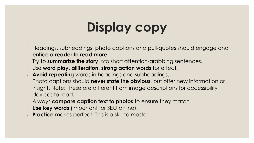## **Display copy**

- Headings, subheadings, photo captions and pull-quotes should engage and **entice a reader to read more**.
- Try to **summarize the story** into short attention-grabbing sentences.
- Use **word play, alliteration, strong action words** for effect.
- **Avoid repeating** words in headings and subheadings.
- Photo captions should **never state the obvious**, but offer new information or insight. Note: These are different from image descriptions for accessibility devices to read.
- Always **compare caption text to photos** to ensure they match.
- **Use key words** (important for SEO online).
- **Practice** makes perfect. This is a skill to master.